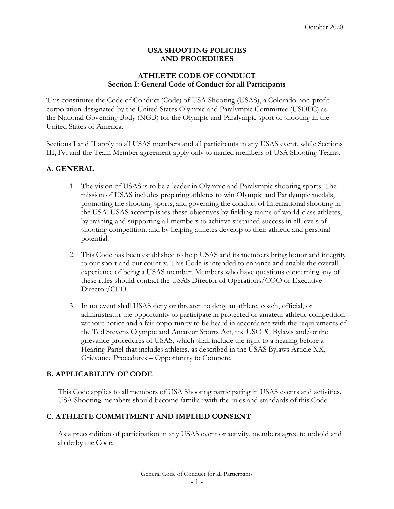#### **USA SHOOTING POLICIES AND PROCEDURES**

### **ATHLETE CODE OF CONDUCT Section I: General Code of Conduct for all Participants**

This constitutes the Code of Conduct (Code) of USA Shooting (USAS), a Colorado non-profit corporation designated by the United States Olympic and Paralympic Committee (USOPC) as the National Governing Body (NGB) for the Olympic and Paralympic sport of shooting in the United States of America.

Sections I and II apply to all USAS members and all participants in any USAS event, while Sections III, IV, and the Team Member agreement apply only to named members of USA Shooting Teams.

# **A. GENERAL**

- 1. The vision of USAS is to be a leader in Olympic and Paralympic shooting sports. The mission of USAS includes preparing athletes to win Olympic and Paralympic medals, promoting the shooting sports, and governing the conduct of International shooting in the USA. USAS accomplishes these objectives by fielding teams of world-class athletes; by training and supporting all members to achieve sustained success in all levels of shooting competition; and by helping athletes develop to their athletic and personal potential.
- 2. This Code has been established to help USAS and its members bring honor and integrity to our sport and our country. This Code is intended to enhance and enable the overall experience of being a USAS member. Members who have questions concerning any of these rules should contact the USAS Director of Operations/COO or Executive Director/CEO.
- 3. In no event shall USAS deny or threaten to deny an athlete, coach, official, or administrator the opportunity to participate in protected or amateur athletic competition without notice and a fair opportunity to be heard in accordance with the requirements of the Ted Stevens Olympic and Amateur Sports Act, the USOPC Bylaws and/or the grievance procedures of USAS, which shall include the right to a hearing before a Hearing Panel that includes athletes, as described in the USAS Bylaws Article XX, Grievance Procedures – Opportunity to Compete.

#### **B. APPLICABILITY OF CODE**

This Code applies to all members of USA Shooting participating in USAS events and activities. USA Shooting members should become familiar with the rules and standards of this Code.

# **C. ATHLETE COMMITMENT AND IMPLIED CONSENT**

As a precondition of participation in any USAS event or activity, members agree to uphold and abide by the Code.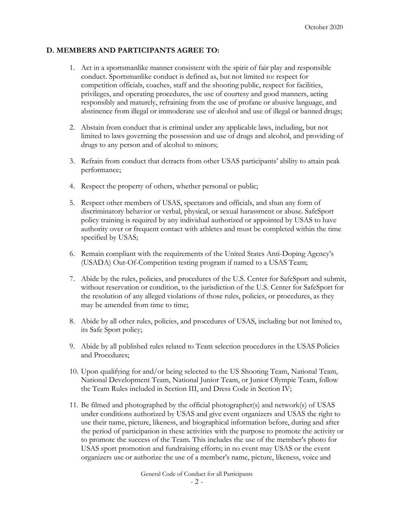### **D. MEMBERS AND PARTICIPANTS AGREE TO:**

- 1. Act in a sportsmanlike manner consistent with the spirit of fair play and responsible conduct. Sportsmanlike conduct is defined as, but not limited to: respect for competition officials, coaches, staff and the shooting public, respect for facilities, privileges, and operating procedures, the use of courtesy and good manners, acting responsibly and maturely, refraining from the use of profane or abusive language, and abstinence from illegal or immoderate use of alcohol and use of illegal or banned drugs;
- 2. Abstain from conduct that is criminal under any applicable laws, including, but not limited to laws governing the possession and use of drugs and alcohol, and providing of drugs to any person and of alcohol to minors;
- 3. Refrain from conduct that detracts from other USAS participants' ability to attain peak performance;
- 4. Respect the property of others, whether personal or public;
- 5. Respect other members of USAS, spectators and officials, and shun any form of discriminatory behavior or verbal, physical, or sexual harassment or abuse. SafeSport policy training is required by any individual authorized or appointed by USAS to have authority over or frequent contact with athletes and must be completed within the time specified by USAS;
- 6. Remain compliant with the requirements of the United States Anti-Doping Agency's (USADA) Out-Of-Competition testing program if named to a USAS Team;
- 7. Abide by the rules, policies, and procedures of the U.S. Center for SafeSport and submit, without reservation or condition, to the jurisdiction of the U.S. Center for SafeSport for the resolution of any alleged violations of those rules, policies, or procedures, as they may be amended from time to time;
- 8. Abide by all other rules, policies, and procedures of USAS, including but not limited to, its Safe Sport policy;
- 9. Abide by all published rules related to Team selection procedures in the USAS Policies and Procedures;
- 10. Upon qualifying for and/or being selected to the US Shooting Team, National Team, National Development Team, National Junior Team, or Junior Olympic Team, follow the Team Rules included in Section III, and Dress Code in Section IV;
- 11. Be filmed and photographed by the official photographer(s) and network(s) of USAS under conditions authorized by USAS and give event organizers and USAS the right to use their name, picture, likeness, and biographical information before, during and after the period of participation in these activities with the purpose to promote the activity or to promote the success of the Team. This includes the use of the member's photo for USAS sport promotion and fundraising efforts; in no event may USAS or the event organizers use or authorize the use of a member's name, picture, likeness, voice and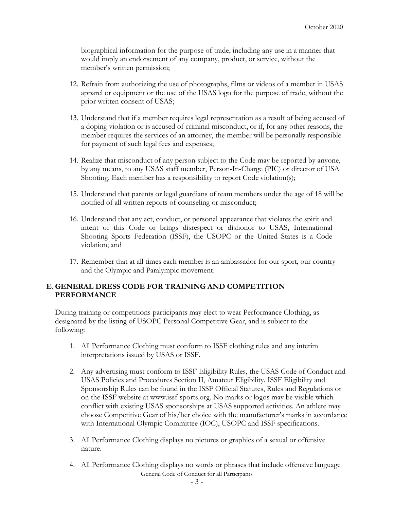biographical information for the purpose of trade, including any use in a manner that would imply an endorsement of any company, product, or service, without the member's written permission;

- 12. Refrain from authorizing the use of photographs, films or videos of a member in USAS apparel or equipment or the use of the USAS logo for the purpose of trade, without the prior written consent of USAS;
- 13. Understand that if a member requires legal representation as a result of being accused of a doping violation or is accused of criminal misconduct, or if, for any other reasons, the member requires the services of an attorney, the member will be personally responsible for payment of such legal fees and expenses;
- 14. Realize that misconduct of any person subject to the Code may be reported by anyone, by any means, to any USAS staff member, Person-In-Charge (PIC) or director of USA Shooting. Each member has a responsibility to report Code violation(s);
- 15. Understand that parents or legal guardians of team members under the age of 18 will be notified of all written reports of counseling or misconduct;
- 16. Understand that any act, conduct, or personal appearance that violates the spirit and intent of this Code or brings disrespect or dishonor to USAS, International Shooting Sports Federation (ISSF), the USOPC or the United States is a Code violation; and
- 17. Remember that at all times each member is an ambassador for our sport, our country and the Olympic and Paralympic movement.

### **E. GENERAL DRESS CODE FOR TRAINING AND COMPETITION PERFORMANCE**

During training or competitions participants may elect to wear Performance Clothing, as designated by the listing of USOPC Personal Competitive Gear, and is subject to the following:

- 1. All Performance Clothing must conform to ISSF clothing rules and any interim interpretations issued by USAS or ISSF.
- 2. Any advertising must conform to ISSF Eligibility Rules, the USAS Code of Conduct and USAS Policies and Procedures Section II, Amateur Eligibility. ISSF Eligibility and Sponsorship Rules can be found in the ISSF Official Statutes, Rules and Regulations or on the ISSF websi[te at www.issf-sports.org. N](http://www.issf-sports.org/)o marks or logos may be visible which conflict with existing USAS sponsorships at USAS supported activities. An athlete may choose Competitive Gear of his/her choice with the manufacturer's marks in accordance with International Olympic Committee (IOC), USOPC and ISSF specifications.
- 3. All Performance Clothing displays no pictures or graphics of a sexual or offensive nature.
- General Code of Conduct for all Participants 4. All Performance Clothing displays no words or phrases that include offensive language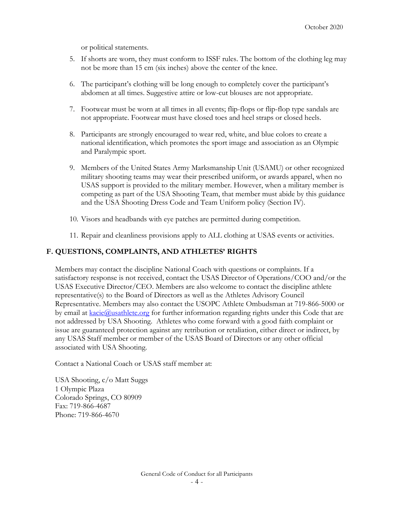or political statements.

- 5. If shorts are worn, they must conform to ISSF rules. The bottom of the clothing leg may not be more than 15 cm (six inches) above the center of the knee.
- 6. The participant's clothing will be long enough to completely cover the participant's abdomen at all times. Suggestive attire or low-cut blouses are not appropriate.
- 7. Footwear must be worn at all times in all events; flip-flops or flip-flop type sandals are not appropriate. Footwear must have closed toes and heel straps or closed heels.
- 8. Participants are strongly encouraged to wear red, white, and blue colors to create a national identification, which promotes the sport image and association as an Olympic and Paralympic sport.
- 9. Members of the United States Army Marksmanship Unit (USAMU) or other recognized military shooting teams may wear their prescribed uniform, or awards apparel, when no USAS support is provided to the military member. However, when a military member is competing as part of the USA Shooting Team, that member must abide by this guidance and the USA Shooting Dress Code and Team Uniform policy (Section IV).
- 10. Visors and headbands with eye patches are permitted during competition.
- 11. Repair and cleanliness provisions apply to ALL clothing at USAS events or activities.

### **F. QUESTIONS, COMPLAINTS, AND ATHLETES' RIGHTS**

Members may contact the discipline National Coach with questions or complaints. If a satisfactory response is not received, contact the USAS Director of Operations/COO and/or the USAS Executive Director/CEO. Members are also welcome to contact the discipline athlete representative(s) to the Board of Directors as well as the Athletes Advisory Council Representative. Members may also contact the USOPC Athlete Ombudsman at 719-866-5000 or by email a[t](mailto:Kacie.Wallace@usoc.org)  $\frac{k \text{acc}(\mathcal{Q})}{k \cdot \text{c} \cdot \text{c} \cdot \text{c} \cdot \text{c} \cdot \text{c}}$  for further information regarding rights under this Code that are not addressed by USA Shooting. Athletes who come forward with a good faith complaint or issue are guaranteed protection against any retribution or retaliation, either direct or indirect, by any USAS Staff member or member of the USAS Board of Directors or any other official associated with USA Shooting.

Contact a National Coach or USAS staff member at:

USA Shooting, c/o Matt Suggs 1 Olympic Plaza Colorado Springs, CO 80909 Fax: 719-866-4687 Phone: 719-866-4670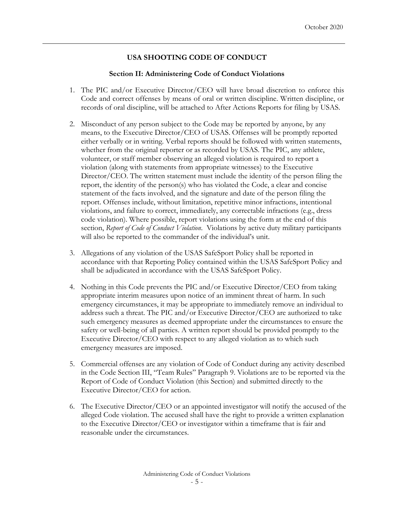# **USA SHOOTING CODE OF CONDUCT**

### **Section II: Administering Code of Conduct Violations**

- 1. The PIC and/or Executive Director/CEO will have broad discretion to enforce this Code and correct offenses by means of oral or written discipline. Written discipline, or records of oral discipline, will be attached to After Actions Reports for filing by USAS.
- 2. Misconduct of any person subject to the Code may be reported by anyone, by any means, to the Executive Director/CEO of USAS. Offenses will be promptly reported either verbally or in writing. Verbal reports should be followed with written statements, whether from the original reporter or as recorded by USAS. The PIC, any athlete, volunteer, or staff member observing an alleged violation is required to report a violation (along with statements from appropriate witnesses) to the Executive Director/CEO. The written statement must include the identity of the person filing the report, the identity of the person(s) who has violated the Code, a clear and concise statement of the facts involved, and the signature and date of the person filing the report. Offenses include, without limitation, repetitive minor infractions, intentional violations, and failure to correct, immediately, any correctable infractions (e.g., dress code violation). Where possible, report violations using the form at the end of this section, *Report of Code of Conduct Violation*. Violations by active duty military participants will also be reported to the commander of the individual's unit.
- 3. Allegations of any violation of the USAS SafeSport Policy shall be reported in accordance with that Reporting Policy contained within the USAS SafeSport Policy and shall be adjudicated in accordance with the USAS SafeSport Policy.
- 4. Nothing in this Code prevents the PIC and/or Executive Director/CEO from taking appropriate interim measures upon notice of an imminent threat of harm. In such emergency circumstances, it may be appropriate to immediately remove an individual to address such a threat. The PIC and/or Executive Director/CEO are authorized to take such emergency measures as deemed appropriate under the circumstances to ensure the safety or well-being of all parties. A written report should be provided promptly to the Executive Director/CEO with respect to any alleged violation as to which such emergency measures are imposed.
- 5. Commercial offenses are any violation of Code of Conduct during any activity described in the Code Section III, "Team Rules" Paragraph 9. Violations are to be reported via the Report of Code of Conduct Violation (this Section) and submitted directly to the Executive Director/CEO for action.
- 6. The Executive Director/CEO or an appointed investigator will notify the accused of the alleged Code violation. The accused shall have the right to provide a written explanation to the Executive Director/CEO or investigator within a timeframe that is fair and reasonable under the circumstances.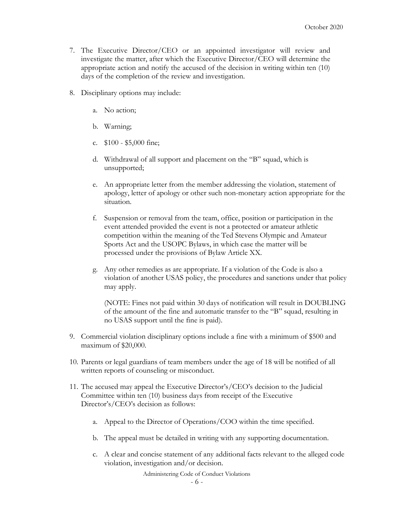- 7. The Executive Director/CEO or an appointed investigator will review and investigate the matter, after which the Executive Director/CEO will determine the appropriate action and notify the accused of the decision in writing within ten (10) days of the completion of the review and investigation.
- 8. Disciplinary options may include:
	- a. No action;
	- b. Warning;
	- c. \$100 \$5,000 fine;
	- d. Withdrawal of all support and placement on the "B" squad, which is unsupported;
	- e. An appropriate letter from the member addressing the violation, statement of apology, letter of apology or other such non-monetary action appropriate for the situation.
	- f. Suspension or removal from the team, office, position or participation in the event attended provided the event is not a protected or amateur athletic competition within the meaning of the Ted Stevens Olympic and Amateur Sports Act and the USOPC Bylaws, in which case the matter will be processed under the provisions of Bylaw Article XX.
	- g. Any other remedies as are appropriate. If a violation of the Code is also a violation of another USAS policy, the procedures and sanctions under that policy may apply.

(NOTE: Fines not paid within 30 days of notification will result in DOUBLING of the amount of the fine and automatic transfer to the "B" squad, resulting in no USAS support until the fine is paid).

- 9. Commercial violation disciplinary options include a fine with a minimum of \$500 and maximum of \$20,000.
- 10. Parents or legal guardians of team members under the age of 18 will be notified of all written reports of counseling or misconduct.
- 11. The accused may appeal the Executive Director's/CEO's decision to the Judicial Committee within ten (10) business days from receipt of the Executive Director's/CEO's decision as follows:
	- a. Appeal to the Director of Operations/COO within the time specified.
	- b. The appeal must be detailed in writing with any supporting documentation.
	- c. A clear and concise statement of any additional facts relevant to the alleged code violation, investigation and/or decision.

Administering Code of Conduct Violations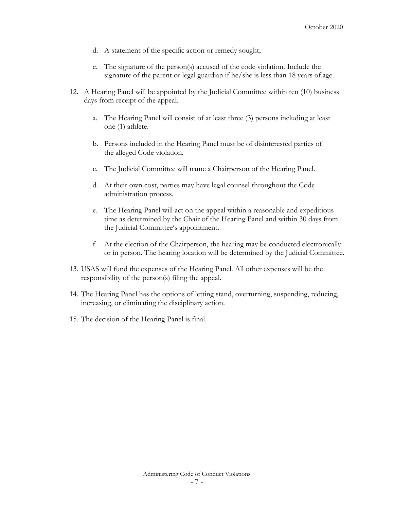- d. A statement of the specific action or remedy sought;
- e. The signature of the person(s) accused of the code violation. Include the signature of the parent or legal guardian if he/she is less than 18 years of age.
- 12. A Hearing Panel will be appointed by the Judicial Committee within ten (10) business days from receipt of the appeal.
	- a. The Hearing Panel will consist of at least three (3) persons including at least one (1) athlete.
	- b. Persons included in the Hearing Panel must be of disinterested parties of the alleged Code violation.
	- c. The Judicial Committee will name a Chairperson of the Hearing Panel.
	- d. At their own cost, parties may have legal counsel throughout the Code administration process.
	- e. The Hearing Panel will act on the appeal within a reasonable and expeditious time as determined by the Chair of the Hearing Panel and within 30 days from the Judicial Committee's appointment.
	- f. At the election of the Chairperson, the hearing may be conducted electronically or in person. The hearing location will be determined by the Judicial Committee.
- 13. USAS will fund the expenses of the Hearing Panel. All other expenses will be the responsibility of the person(s) filing the appeal.
- 14. The Hearing Panel has the options of letting stand, overturning, suspending, reducing, increasing, or eliminating the disciplinary action.
- 15. The decision of the Hearing Panel is final.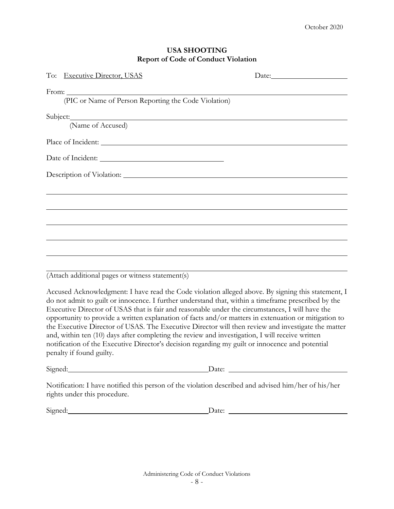| <b>USA SHOOTING</b>                        |  |
|--------------------------------------------|--|
| <b>Report of Code of Conduct Violation</b> |  |
| $\therefore$ TTC A C                       |  |

| To: Executive Director, USAS                                                      |  |
|-----------------------------------------------------------------------------------|--|
|                                                                                   |  |
| (PIC or Name of Person Reporting the Code Violation)                              |  |
|                                                                                   |  |
| (Name of Accused)                                                                 |  |
|                                                                                   |  |
|                                                                                   |  |
|                                                                                   |  |
| ,我们也不会有什么。""我们的人,我们也不会有什么?""我们的人,我们也不会有什么?""我们的人,我们也不会有什么?""我们的人,我们也不会有什么?""我们的人  |  |
|                                                                                   |  |
|                                                                                   |  |
|                                                                                   |  |
| ,我们也不能会在这里,我们的人们就会在这里,我们也不能会在这里,我们也不能会在这里,我们也不能会在这里,我们也不能会在这里,我们也不能会不能会不能会。""我们,我 |  |
|                                                                                   |  |

(Attach additional pages or witness statement(s)

Accused Acknowledgment: I have read the Code violation alleged above. By signing this statement, I do not admit to guilt or innocence. I further understand that, within a timeframe prescribed by the Executive Director of USAS that is fair and reasonable under the circumstances, I will have the opportunity to provide a written explanation of facts and/or matters in extenuation or mitigation to the Executive Director of USAS. The Executive Director will then review and investigate the matter and, within ten (10) days after completing the review and investigation, I will receive written notification of the Executive Director's decision regarding my guilt or innocence and potential penalty if found guilty.

Signed: Date: Date:

Notification: I have notified this person of the violation described and advised him/her of his/her rights under this procedure.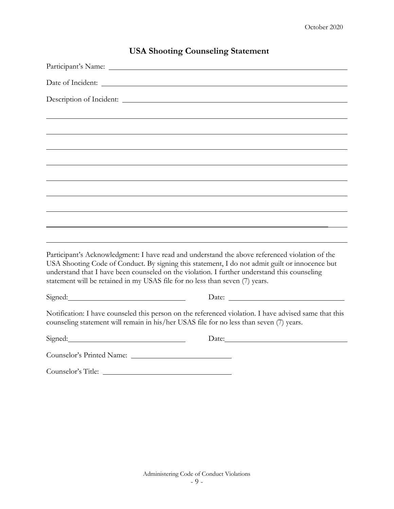|                                                                                                                                                                              | $\frac{1}{211}$ chooting countering clatement                                                                                                                                                    |
|------------------------------------------------------------------------------------------------------------------------------------------------------------------------------|--------------------------------------------------------------------------------------------------------------------------------------------------------------------------------------------------|
|                                                                                                                                                                              |                                                                                                                                                                                                  |
|                                                                                                                                                                              |                                                                                                                                                                                                  |
|                                                                                                                                                                              |                                                                                                                                                                                                  |
|                                                                                                                                                                              |                                                                                                                                                                                                  |
|                                                                                                                                                                              |                                                                                                                                                                                                  |
|                                                                                                                                                                              |                                                                                                                                                                                                  |
|                                                                                                                                                                              |                                                                                                                                                                                                  |
|                                                                                                                                                                              |                                                                                                                                                                                                  |
|                                                                                                                                                                              |                                                                                                                                                                                                  |
|                                                                                                                                                                              |                                                                                                                                                                                                  |
|                                                                                                                                                                              |                                                                                                                                                                                                  |
|                                                                                                                                                                              |                                                                                                                                                                                                  |
| understand that I have been counseled on the violation. I further understand this counseling<br>statement will be retained in my USAS file for no less than seven (7) years. | Participant's Acknowledgment: I have read and understand the above referenced violation of the<br>USA Shooting Code of Conduct. By signing this statement, I do not admit guilt or innocence but |
| Signed:                                                                                                                                                                      |                                                                                                                                                                                                  |
| counseling statement will remain in his/her USAS file for no less than seven (7) years.                                                                                      | Notification: I have counseled this person on the referenced violation. I have advised same that this                                                                                            |
| Signed: Signed:                                                                                                                                                              |                                                                                                                                                                                                  |
|                                                                                                                                                                              |                                                                                                                                                                                                  |
| Counselor's Title:                                                                                                                                                           |                                                                                                                                                                                                  |

# **USA Shooting Counseling Statement**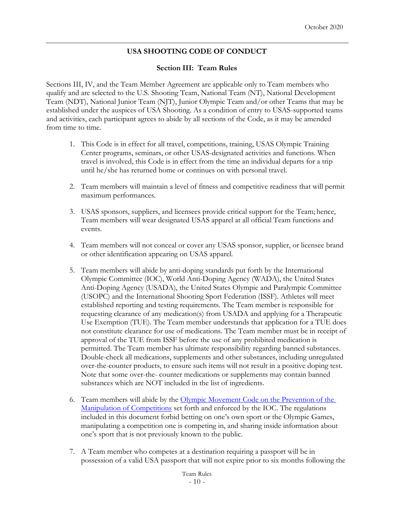# **USA SHOOTING CODE OF CONDUCT**

#### **Section III: Team Rules**

Sections III, IV, and the Team Member Agreement are applicable only to Team members who qualify and are selected to the U.S. Shooting Team, National Team (NT), National Development Team (NDT), National Junior Team (NJT), Junior Olympic Team and/or other Teams that may be established under the auspices of USA Shooting. As a condition of entry to USAS-supported teams and activities, each participant agrees to abide by all sections of the Code, as it may be amended from time to time.

- 1. This Code is in effect for all travel, competitions, training, USAS Olympic Training Center programs, seminars, or other USAS-designated activities and functions. When travel is involved, this Code is in effect from the time an individual departs for a trip until he/she has returned home or continues on with personal travel.
- 2. Team members will maintain a level of fitness and competitive readiness that will permit maximum performances.
- 3. USAS sponsors, suppliers, and licensees provide critical support for the Team; hence, Team members will wear designated USAS apparel at all official Team functions and events.
- 4. Team members will not conceal or cover any USAS sponsor, supplier, or licensee brand or other identification appearing on USAS apparel.
- 5. Team members will abide by anti-doping standards put forth by the International Olympic Committee (IOC), World Anti-Doping Agency (WADA), the United States Anti-Doping Agency (USADA), the United States Olympic and Paralympic Committee (USOPC) and the International Shooting Sport Federation (ISSF). Athletes will meet established reporting and testing requirements. The Team member is responsible for requesting clearance of any medication(s) from USADA and applying for a Therapeutic Use Exemption (TUE). The Team member understands that application for a TUE does not constitute clearance for use of medications. The Team member must be in receipt of approval of the TUE from ISSF before the use of any prohibited medication is permitted. The Team member has ultimate responsibility regarding banned substances. Double-check all medications, supplements and other substances, including unregulated over-the-counter products, to ensure such items will not result in a positive doping test. Note that some over-the- counter medications or supplements may contain banned substances which are NOT included in the list of ingredients.
- 6. Team members will abide by the [Olympic Movement Code on the Prevention of the](https://stillmed.olympic.org/media/Document%20Library/OlympicOrg/IOC/What-We-Do/Protecting-Clean-Athletes/Competition-manipulation/Protecting-clean-athletes-competition-manipulation.pdf)  [Manipulation of Competitions](https://stillmed.olympic.org/media/Document%20Library/OlympicOrg/IOC/What-We-Do/Protecting-Clean-Athletes/Competition-manipulation/Protecting-clean-athletes-competition-manipulation.pdf) set forth and enforced by the IOC. The regulations included in this document forbid betting on one's own sport or the Olympic Games, manipulating a competition one is competing in, and sharing inside information about one's sport that is not previously known to the public.
- 7. A Team member who competes at a destination requiring a passport will be in possession of a valid USA passport that will not expire prior to six months following the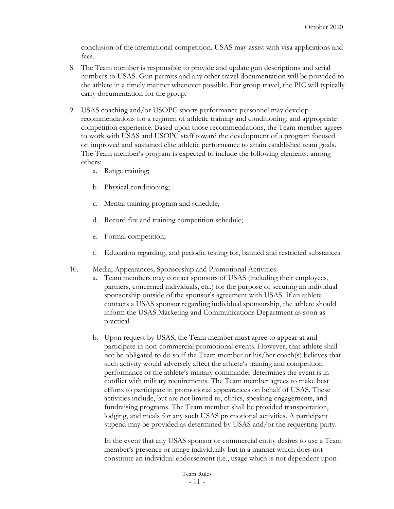conclusion of the international competition. USAS may assist with visa applications and fees.

- 8. The Team member is responsible to provide and update gun descriptions and serial numbers to USAS. Gun permits and any other travel documentation will be provided to the athlete in a timely manner whenever possible. For group travel, the PIC will typically carry documentation for the group.
- 9. USAS coaching and/or USOPC sports performance personnel may develop recommendations for a regimen of athletic training and conditioning, and appropriate competition experience. Based upon those recommendations, the Team member agrees to work with USAS and USOPC staff toward the development of a program focused on improved and sustained elite athletic performance to attain established team goals. The Team member's program is expected to include the following elements, among others:
	- a. Range training;
	- b. Physical conditioning;
	- c. Mental training program and schedule;
	- d. Record fire and training competition schedule;
	- e. Formal competition;
	- f. Education regarding, and periodic testing for, banned and restricted substances.
- 10. Media, Appearances, Sponsorship and Promotional Activities:
	- Team members may contact sponsors of USAS (including their employees, partners, concerned individuals, etc.) for the purpose of securing an individual sponsorship outside of the sponsor's agreement with USAS. If an athlete contacts a USAS sponsor regarding individual sponsorship, the athlete should inform the USAS Marketing and Communications Department as soon as practical.
	- b. Upon request by USAS, the Team member must agree to appear at and participate in non-commercial promotional events. However, that athlete shall not be obligated to do so if the Team member or his/her coach(s) believes that such activity would adversely affect the athlete's training and competition performance or the athlete's military commander determines the event is in conflict with military requirements. The Team member agrees to make best efforts to participate in promotional appearances on behalf of USAS. These activities include, but are not limited to, clinics, speaking engagements, and fundraising programs. The Team member shall be provided transportation, lodging, and meals for any such USAS promotional activities. A participant stipend may be provided as determined by USAS and/or the requesting party.

In the event that any USAS sponsor or commercial entity desires to use a Team member's presence or image individually but in a manner which does not constitute an individual endorsement (i.e., usage which is not dependent upon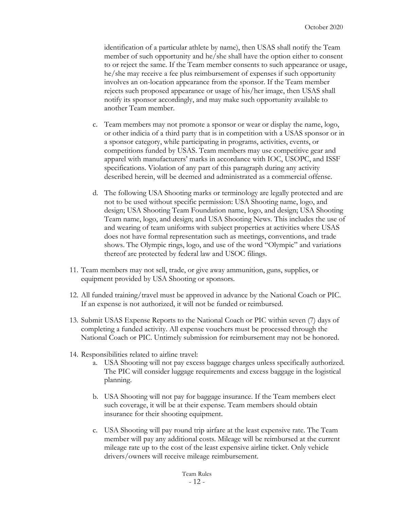identification of a particular athlete by name), then USAS shall notify the Team member of such opportunity and he/she shall have the option either to consent to or reject the same. If the Team member consents to such appearance or usage, he/she may receive a fee plus reimbursement of expenses if such opportunity involves an on-location appearance from the sponsor. If the Team member rejects such proposed appearance or usage of his/her image, then USAS shall notify its sponsor accordingly, and may make such opportunity available to another Team member.

- c. Team members may not promote a sponsor or wear or display the name, logo, or other indicia of a third party that is in competition with a USAS sponsor or in a sponsor category, while participating in programs, activities, events, or competitions funded by USAS. Team members may use competitive gear and apparel with manufacturers' marks in accordance with IOC, USOPC, and ISSF specifications. Violation of any part of this paragraph during any activity described herein, will be deemed and administrated as a commercial offense.
- d. The following USA Shooting marks or terminology are legally protected and are not to be used without specific permission: USA Shooting name, logo, and design; USA Shooting Team Foundation name, logo, and design; USA Shooting Team name, logo, and design; and USA Shooting News. This includes the use of and wearing of team uniforms with subject properties at activities where USAS does not have formal representation such as meetings, conventions, and trade shows. The Olympic rings, logo, and use of the word "Olympic" and variations thereof are protected by federal law and USOC filings.
- 11. Team members may not sell, trade, or give away ammunition, guns, supplies, or equipment provided by USA Shooting or sponsors.
- 12. All funded training/travel must be approved in advance by the National Coach or PIC. If an expense is not authorized, it will not be funded or reimbursed.
- 13. Submit USAS Expense Reports to the National Coach or PIC within seven (7) days of completing a funded activity. All expense vouchers must be processed through the National Coach or PIC. Untimely submission for reimbursement may not be honored.
- 14. Responsibilities related to airline travel:
	- a. USA Shooting will not pay excess baggage charges unless specifically authorized. The PIC will consider luggage requirements and excess baggage in the logistical planning.
	- b. USA Shooting will not pay for baggage insurance. If the Team members elect such coverage, it will be at their expense. Team members should obtain insurance for their shooting equipment.
	- c. USA Shooting will pay round trip airfare at the least expensive rate. The Team member will pay any additional costs. Mileage will be reimbursed at the current mileage rate up to the cost of the least expensive airline ticket. Only vehicle drivers/owners will receive mileage reimbursement.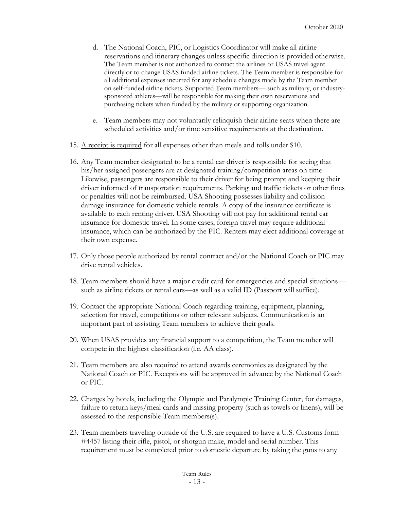- d. The National Coach, PIC, or Logistics Coordinator will make all airline reservations and itinerary changes unless specific direction is provided otherwise. The Team member is not authorized to contact the airlines or USAS travel agent directly or to change USAS funded airline tickets. The Team member is responsible for all additional expenses incurred for any schedule changes made by the Team member on self-funded airline tickets. Supported Team members— such as military, or industrysponsored athletes—will be responsible for making their own reservations and purchasing tickets when funded by the military or supporting organization.
- e. Team members may not voluntarily relinquish their airline seats when there are scheduled activities and/or time sensitive requirements at the destination.
- 15. A receipt is required for all expenses other than meals and tolls under \$10.
- 16. Any Team member designated to be a rental car driver is responsible for seeing that his/her assigned passengers are at designated training/competition areas on time. Likewise, passengers are responsible to their driver for being prompt and keeping their driver informed of transportation requirements. Parking and traffic tickets or other fines or penalties will not be reimbursed. USA Shooting possesses liability and collision damage insurance for domestic vehicle rentals. A copy of the insurance certificate is available to each renting driver. USA Shooting will not pay for additional rental car insurance for domestic travel. In some cases, foreign travel may require additional insurance, which can be authorized by the PIC. Renters may elect additional coverage at their own expense.
- 17. Only those people authorized by rental contract and/or the National Coach or PIC may drive rental vehicles.
- 18. Team members should have a major credit card for emergencies and special situations such as airline tickets or rental cars—as well as a valid ID (Passport will suffice).
- 19. Contact the appropriate National Coach regarding training, equipment, planning, selection for travel, competitions or other relevant subjects. Communication is an important part of assisting Team members to achieve their goals.
- 20. When USAS provides any financial support to a competition, the Team member will compete in the highest classification (i.e. AA class).
- 21. Team members are also required to attend awards ceremonies as designated by the National Coach or PIC. Exceptions will be approved in advance by the National Coach or PIC.
- 22. Charges by hotels, including the Olympic and Paralympic Training Center, for damages, failure to return keys/meal cards and missing property (such as towels or linens), will be assessed to the responsible Team members(s).
- 23. Team members traveling outside of the U.S. are required to have a U.S. Customs form #4457 listing their rifle, pistol, or shotgun make, model and serial number. This requirement must be completed prior to domestic departure by taking the guns to any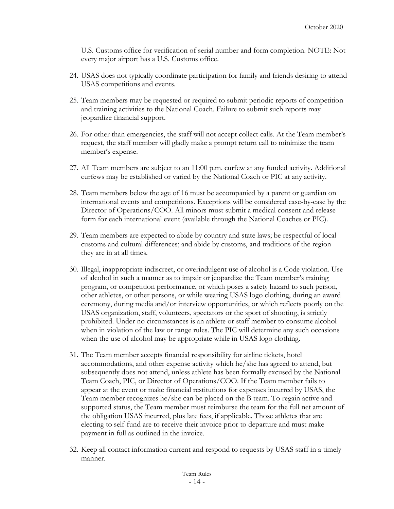U.S. Customs office for verification of serial number and form completion. NOTE: Not every major airport has a U.S. Customs office.

- 24. USAS does not typically coordinate participation for family and friends desiring to attend USAS competitions and events.
- 25. Team members may be requested or required to submit periodic reports of competition and training activities to the National Coach. Failure to submit such reports may jeopardize financial support.
- 26. For other than emergencies, the staff will not accept collect calls. At the Team member's request, the staff member will gladly make a prompt return call to minimize the team member's expense.
- 27. All Team members are subject to an 11:00 p.m. curfew at any funded activity. Additional curfews may be established or varied by the National Coach or PIC at any activity.
- 28. Team members below the age of 16 must be accompanied by a parent or guardian on international events and competitions. Exceptions will be considered case-by-case by the Director of Operations/COO. All minors must submit a medical consent and release form for each international event (available through the National Coaches or PIC).
- 29. Team members are expected to abide by country and state laws; be respectful of local customs and cultural differences; and abide by customs, and traditions of the region they are in at all times.
- 30. Illegal, inappropriate indiscreet, or overindulgent use of alcohol is a Code violation. Use of alcohol in such a manner as to impair or jeopardize the Team member's training program, or competition performance, or which poses a safety hazard to such person, other athletes, or other persons, or while wearing USAS logo clothing, during an award ceremony, during media and/or interview opportunities, or which reflects poorly on the USAS organization, staff, volunteers, spectators or the sport of shooting, is strictly prohibited. Under no circumstances is an athlete or staff member to consume alcohol when in violation of the law or range rules. The PIC will determine any such occasions when the use of alcohol may be appropriate while in USAS logo clothing.
- 31. The Team member accepts financial responsibility for airline tickets, hotel accommodations, and other expense activity which he/she has agreed to attend, but subsequently does not attend, unless athlete has been formally excused by the National Team Coach, PIC, or Director of Operations/COO. If the Team member fails to appear at the event or make financial restitutions for expenses incurred by USAS, the Team member recognizes he/she can be placed on the B team. To regain active and supported status, the Team member must reimburse the team for the full net amount of the obligation USAS incurred, plus late fees, if applicable. Those athletes that are electing to self-fund are to receive their invoice prior to departure and must make payment in full as outlined in the invoice.
- 32. Keep all contact information current and respond to requests by USAS staff in a timely manner.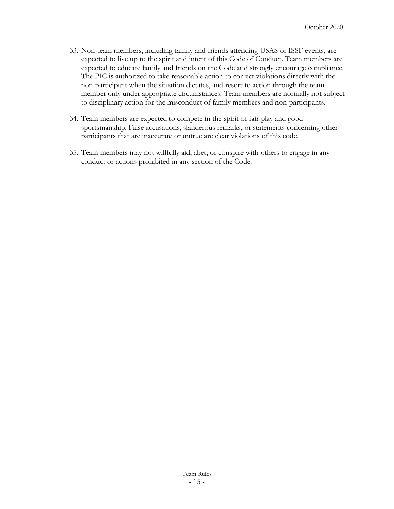- 33. Non-team members, including family and friends attending USAS or ISSF events, are expected to live up to the spirit and intent of this Code of Conduct. Team members are expected to educate family and friends on the Code and strongly encourage compliance. The PIC is authorized to take reasonable action to correct violations directly with the non-participant when the situation dictates, and resort to action through the team member only under appropriate circumstances. Team members are normally not subject to disciplinary action for the misconduct of family members and non-participants.
- 34. Team members are expected to compete in the spirit of fair play and good sportsmanship. False accusations, slanderous remarks, or statements concerning other participants that are inaccurate or untrue are clear violations of this code.
- 35. Team members may not willfully aid, abet, or conspire with others to engage in any conduct or actions prohibited in any section of the Code.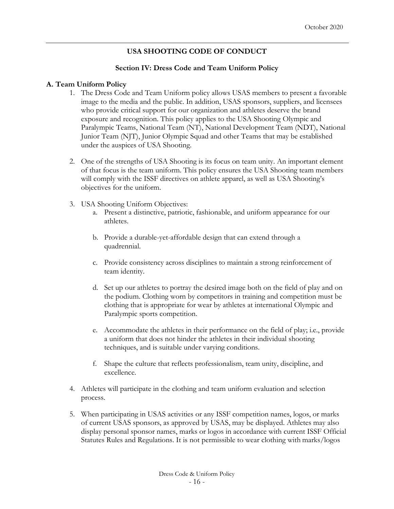# **USA SHOOTING CODE OF CONDUCT**

### **Section IV: Dress Code and Team Uniform Policy**

### **A. Team Uniform Policy**

- 1. The Dress Code and Team Uniform policy allows USAS members to present a favorable image to the media and the public. In addition, USAS sponsors, suppliers, and licensees who provide critical support for our organization and athletes deserve the brand exposure and recognition. This policy applies to the USA Shooting Olympic and Paralympic Teams, National Team (NT), National Development Team (NDT), National Junior Team (NJT), Junior Olympic Squad and other Teams that may be established under the auspices of USA Shooting.
- 2. One of the strengths of USA Shooting is its focus on team unity. An important element of that focus is the team uniform. This policy ensures the USA Shooting team members will comply with the ISSF directives on athlete apparel, as well as USA Shooting's objectives for the uniform.
- 3. USA Shooting Uniform Objectives:
	- a. Present a distinctive, patriotic, fashionable, and uniform appearance for our athletes.
	- b. Provide a durable-yet-affordable design that can extend through a quadrennial.
	- c. Provide consistency across disciplines to maintain a strong reinforcement of team identity.
	- d. Set up our athletes to portray the desired image both on the field of play and on the podium. Clothing worn by competitors in training and competition must be clothing that is appropriate for wear by athletes at international Olympic and Paralympic sports competition.
	- e. Accommodate the athletes in their performance on the field of play; i.e., provide a uniform that does not hinder the athletes in their individual shooting techniques, and is suitable under varying conditions.
	- f. Shape the culture that reflects professionalism, team unity, discipline, and excellence.
- 4. Athletes will participate in the clothing and team uniform evaluation and selection process.
- 5. When participating in USAS activities or any ISSF competition names, logos, or marks of current USAS sponsors, as approved by USAS, may be displayed. Athletes may also display personal sponsor names, marks or logos in accordance with current ISSF Official Statutes Rules and Regulations. It is not permissible to wear clothing with marks/logos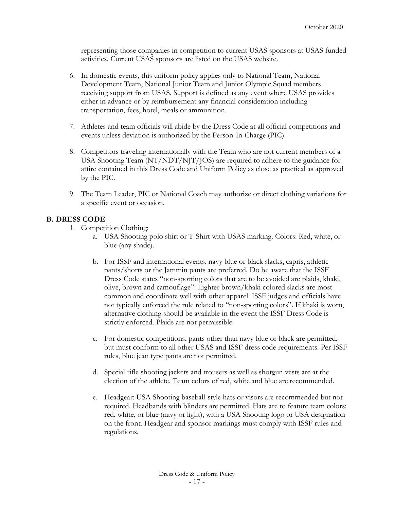representing those companies in competition to current USAS sponsors at USAS funded activities. Current USAS sponsors are listed on the USAS website.

- 6. In domestic events, this uniform policy applies only to National Team, National Development Team, National Junior Team and Junior Olympic Squad members receiving support from USAS. Support is defined as any event where USAS provides either in advance or by reimbursement any financial consideration including transportation, fees, hotel, meals or ammunition.
- 7. Athletes and team officials will abide by the Dress Code at all official competitions and events unless deviation is authorized by the Person-In-Charge (PIC).
- 8. Competitors traveling internationally with the Team who are not current members of a USA Shooting Team (NT/NDT/NJT/JOS) are required to adhere to the guidance for attire contained in this Dress Code and Uniform Policy as close as practical as approved by the PIC.
- 9. The Team Leader, PIC or National Coach may authorize or direct clothing variations for a specific event or occasion.

# **B. DRESS CODE**

- 1. Competition Clothing:
	- a. USA Shooting polo shirt or T-Shirt with USAS marking. Colors: Red, white, or blue (any shade).
	- b. For ISSF and international events, navy blue or black slacks, capris, athletic pants/shorts or the Jammin pants are preferred. Do be aware that the ISSF Dress Code states "non-sporting colors that are to be avoided are plaids, khaki, olive, brown and camouflage". Lighter brown/khaki colored slacks are most common and coordinate well with other apparel. ISSF judges and officials have not typically enforced the rule related to "non-sporting colors". If khaki is worn, alternative clothing should be available in the event the ISSF Dress Code is strictly enforced. Plaids are not permissible.
	- c. For domestic competitions, pants other than navy blue or black are permitted, but must conform to all other USAS and ISSF dress code requirements. Per ISSF rules, blue jean type pants are not permitted.
	- d. Special rifle shooting jackets and trousers as well as shotgun vests are at the election of the athlete. Team colors of red, white and blue are recommended.
	- e. Headgear: USA Shooting baseball-style hats or visors are recommended but not required. Headbands with blinders are permitted. Hats are to feature team colors: red, white, or blue (navy or light), with a USA Shooting logo or USA designation on the front. Headgear and sponsor markings must comply with ISSF rules and regulations.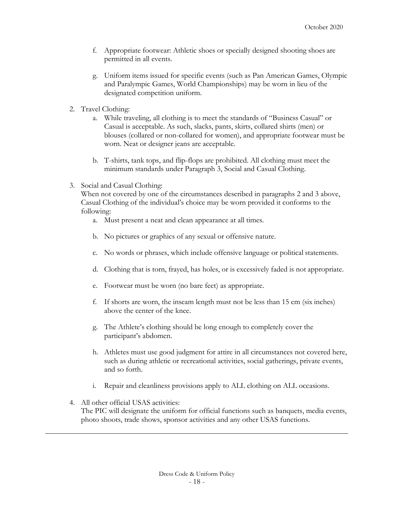- f. Appropriate footwear: Athletic shoes or specially designed shooting shoes are permitted in all events.
- g. Uniform items issued for specific events (such as Pan American Games, Olympic and Paralympic Games, World Championships) may be worn in lieu of the designated competition uniform.
- 2. Travel Clothing:
	- a. While traveling, all clothing is to meet the standards of "Business Casual" or Casual is acceptable. As such, slacks, pants, skirts, collared shirts (men) or blouses (collared or non-collared for women), and appropriate footwear must be worn. Neat or designer jeans are acceptable.
	- b. T-shirts, tank tops, and flip-flops are prohibited. All clothing must meet the minimum standards under Paragraph 3, Social and Casual Clothing.
- 3. Social and Casual Clothing:

When not covered by one of the circumstances described in paragraphs 2 and 3 above, Casual Clothing of the individual's choice may be worn provided it conforms to the following:

- a. Must present a neat and clean appearance at all times.
- b. No pictures or graphics of any sexual or offensive nature.
- c. No words or phrases, which include offensive language or political statements.
- d. Clothing that is torn, frayed, has holes, or is excessively faded is not appropriate.
- e. Footwear must be worn (no bare feet) as appropriate.
- f. If shorts are worn, the inseam length must not be less than 15 cm (six inches) above the center of the knee.
- g. The Athlete's clothing should be long enough to completely cover the participant's abdomen.
- h. Athletes must use good judgment for attire in all circumstances not covered here, such as during athletic or recreational activities, social gatherings, private events, and so forth.
- i. Repair and cleanliness provisions apply to ALL clothing on ALL occasions.
- 4. All other official USAS activities: The PIC will designate the uniform for official functions such as banquets, media events, photo shoots, trade shows, sponsor activities and any other USAS functions.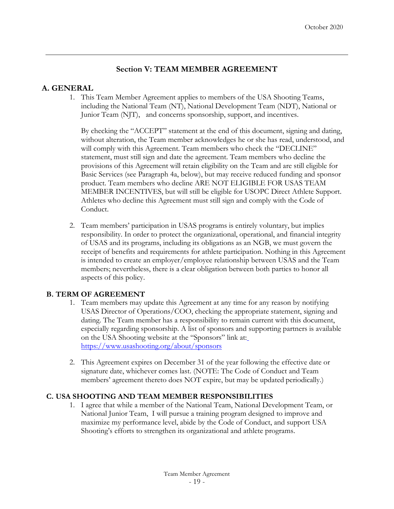# **Section V: TEAM MEMBER AGREEMENT**

# **A. GENERAL**

1. This Team Member Agreement applies to members of the USA Shooting Teams, including the National Team (NT), National Development Team (NDT), National or Junior Team (NJT), and concerns sponsorship, support, and incentives.

By checking the "ACCEPT" statement at the end of this document, signing and dating, without alteration, the Team member acknowledges he or she has read, understood, and will comply with this Agreement. Team members who check the "DECLINE" statement, must still sign and date the agreement. Team members who decline the provisions of this Agreement will retain eligibility on the Team and are still eligible for Basic Services (see Paragraph 4a, below), but may receive reduced funding and sponsor product. Team members who decline ARE NOT ELIGIBLE FOR USAS TEAM MEMBER INCENTIVES, but will still be eligible for USOPC Direct Athlete Support. Athletes who decline this Agreement must still sign and comply with the Code of Conduct.

2. Team members' participation in USAS programs is entirely voluntary, but implies responsibility. In order to protect the organizational, operational, and financial integrity of USAS and its programs, including its obligations as an NGB, we must govern the receipt of benefits and requirements for athlete participation. Nothing in this Agreement is intended to create an employer/employee relationship between USAS and the Team members; nevertheless, there is a clear obligation between both parties to honor all aspects of this policy.

# **B. TERM OF AGREEMENT**

- 1. Team members may update this Agreement at any time for any reason by notifying USAS Director of Operations/COO, checking the appropriate statement, signing and dating. The Team member has a responsibility to remain current with this document, especially regarding sponsorship. A list of sponsors and supporting partners is available on the USA Shooting website at the "Sponsors" link at[:](https://www.usashooting.org/about/sponsors) <https://www.usashooting.org/about/sponsors>
- 2. This Agreement expires on December 31 of the year following the effective date or signature date, whichever comes last. (NOTE: The Code of Conduct and Team members' agreement thereto does NOT expire, but may be updated periodically.)

# **C. USA SHOOTING AND TEAM MEMBER RESPONSIBILITIES**

1. I agree that while a member of the National Team, National Development Team, or National Junior Team, I will pursue a training program designed to improve and maximize my performance level, abide by the Code of Conduct, and support USA Shooting's efforts to strengthen its organizational and athlete programs.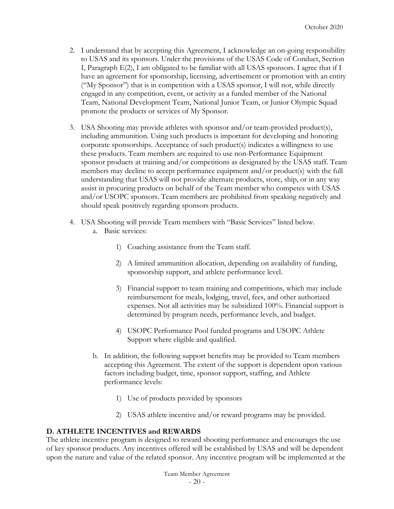- 2. I understand that by accepting this Agreement, I acknowledge an on-going responsibility to USAS and its sponsors. Under the provisions of the USAS Code of Conduct, Section I, Paragraph E(2), I am obligated to be familiar with all USAS sponsors. I agree that if I have an agreement for sponsorship, licensing, advertisement or promotion with an entity ("My Sponsor") that is in competition with a USAS sponsor, I will not, while directly engaged in any competition, event, or activity as a funded member of the National Team, National Development Team, National Junior Team, or Junior Olympic Squad promote the products or services of My Sponsor.
- 3. USA Shooting may provide athletes with sponsor and/or team-provided product(s), including ammunition. Using such products is important for developing and honoring corporate sponsorships. Acceptance of such product(s) indicates a willingness to use these products. Team members are required to use non-Performance Equipment sponsor products at training and/or competitions as designated by the USAS staff. Team members may decline to accept performance equipment and/or product(s) with the full understanding that USAS will not provide alternate products, store, ship, or in any way assist in procuring products on behalf of the Team member who competes with USAS and/or USOPC sponsors. Team members are prohibited from speaking negatively and should speak positively regarding sponsors products.
- 4. USA Shooting will provide Team members with "Basic Services" listed below. a. Basic services:
	- 1) Coaching assistance from the Team staff.
	- 2) A limited ammunition allocation, depending on availability of funding, sponsorship support, and athlete performance level.
	- 3) Financial support to team training and competitions, which may include reimbursement for meals, lodging, travel, fees, and other authorized expenses. Not all activities may be subsidized 100%. Financial support is determined by program needs, performance levels, and budget.
	- 4) USOPC Performance Pool funded programs and USOPC Athlete Support where eligible and qualified.
	- b. In addition, the following support benefits may be provided to Team members accepting this Agreement. The extent of the support is dependent upon various factors including budget, time, sponsor support, staffing, and Athlete performance levels:
		- 1) Use of products provided by sponsors
		- 2) USAS athlete incentive and/or reward programs may be provided.

# **D. ATHLETE INCENTIVES and REWARDS**

The athlete incentive program is designed to reward shooting performance and encourages the use of key sponsor products. Any incentives offered will be established by USAS and will be dependent upon the nature and value of the related sponsor. Any incentive program will be implemented at the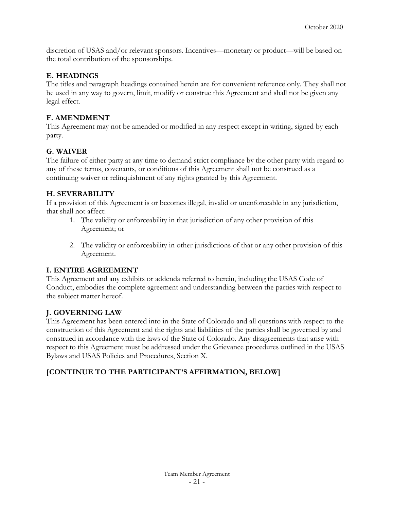discretion of USAS and/or relevant sponsors. Incentives—monetary or product—will be based on the total contribution of the sponsorships.

### **E. HEADINGS**

The titles and paragraph headings contained herein are for convenient reference only. They shall not be used in any way to govern, limit, modify or construe this Agreement and shall not be given any legal effect.

### **F. AMENDMENT**

This Agreement may not be amended or modified in any respect except in writing, signed by each party.

### **G. WAIVER**

The failure of either party at any time to demand strict compliance by the other party with regard to any of these terms, covenants, or conditions of this Agreement shall not be construed as a continuing waiver or relinquishment of any rights granted by this Agreement.

### **H. SEVERABILITY**

If a provision of this Agreement is or becomes illegal, invalid or unenforceable in any jurisdiction, that shall not affect:

- 1. The validity or enforceability in that jurisdiction of any other provision of this Agreement; or
- 2. The validity or enforceability in other jurisdictions of that or any other provision of this Agreement.

# **I. ENTIRE AGREEMENT**

This Agreement and any exhibits or addenda referred to herein, including the USAS Code of Conduct, embodies the complete agreement and understanding between the parties with respect to the subject matter hereof.

# **J. GOVERNING LAW**

This Agreement has been entered into in the State of Colorado and all questions with respect to the construction of this Agreement and the rights and liabilities of the parties shall be governed by and construed in accordance with the laws of the State of Colorado. Any disagreements that arise with respect to this Agreement must be addressed under the Grievance procedures outlined in the USAS Bylaws and USAS Policies and Procedures, Section X.

# **[CONTINUE TO THE PARTICIPANT'S AFFIRMATION, BELOW]**